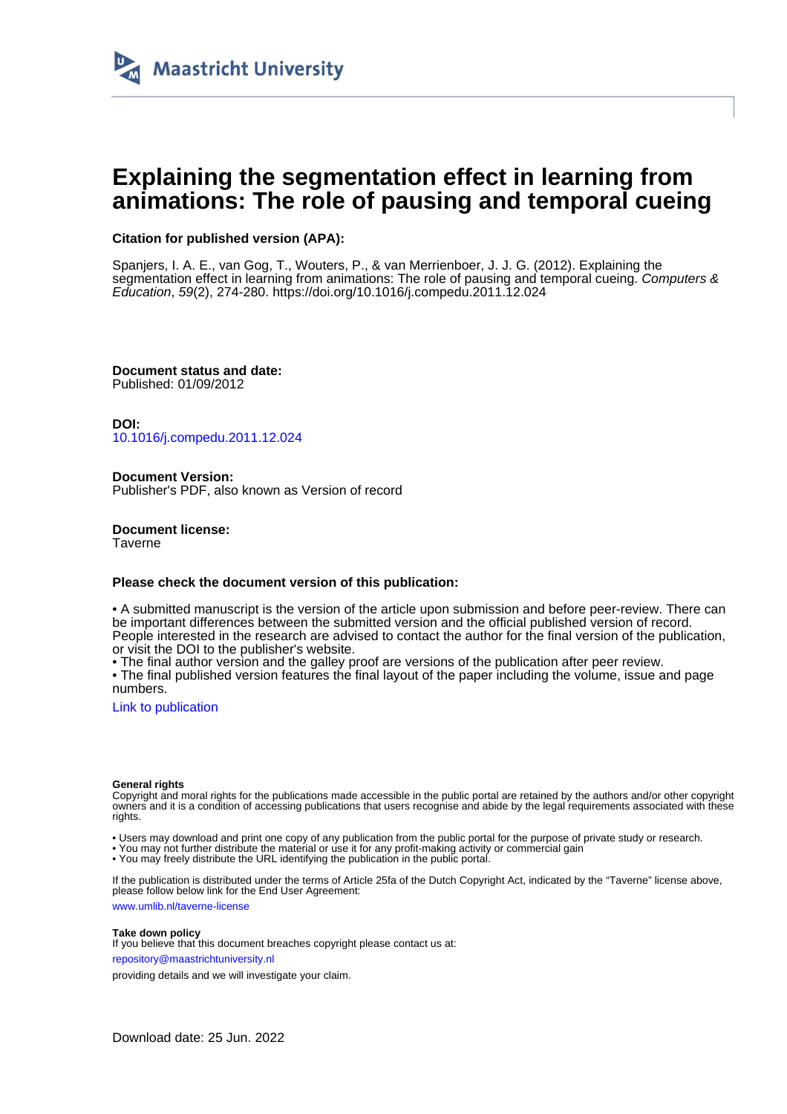

# **Explaining the segmentation effect in learning from animations: The role of pausing and temporal cueing**

## **Citation for published version (APA):**

Spanjers, I. A. E., van Gog, T., Wouters, P., & van Merrienboer, J. J. G. (2012). Explaining the segmentation effect in learning from animations: The role of pausing and temporal cueing. Computers & Education, 59(2), 274-280.<https://doi.org/10.1016/j.compedu.2011.12.024>

**Document status and date:** Published: 01/09/2012

**DOI:** [10.1016/j.compedu.2011.12.024](https://doi.org/10.1016/j.compedu.2011.12.024)

**Document Version:** Publisher's PDF, also known as Version of record

**Document license: Taverne** 

## **Please check the document version of this publication:**

• A submitted manuscript is the version of the article upon submission and before peer-review. There can be important differences between the submitted version and the official published version of record. People interested in the research are advised to contact the author for the final version of the publication, or visit the DOI to the publisher's website.

• The final author version and the galley proof are versions of the publication after peer review.

• The final published version features the final layout of the paper including the volume, issue and page numbers.

[Link to publication](https://cris.maastrichtuniversity.nl/en/publications/1052fd51-fa46-4929-be65-8aede6213414)

## **General rights**

Copyright and moral rights for the publications made accessible in the public portal are retained by the authors and/or other copyright owners and it is a condition of accessing publications that users recognise and abide by the legal requirements associated with these rights.

• Users may download and print one copy of any publication from the public portal for the purpose of private study or research.

• You may not further distribute the material or use it for any profit-making activity or commercial gain

• You may freely distribute the URL identifying the publication in the public portal.

If the publication is distributed under the terms of Article 25fa of the Dutch Copyright Act, indicated by the "Taverne" license above, please follow below link for the End User Agreement:

www.umlib.nl/taverne-license

## **Take down policy**

If you believe that this document breaches copyright please contact us at: repository@maastrichtuniversity.nl

providing details and we will investigate your claim.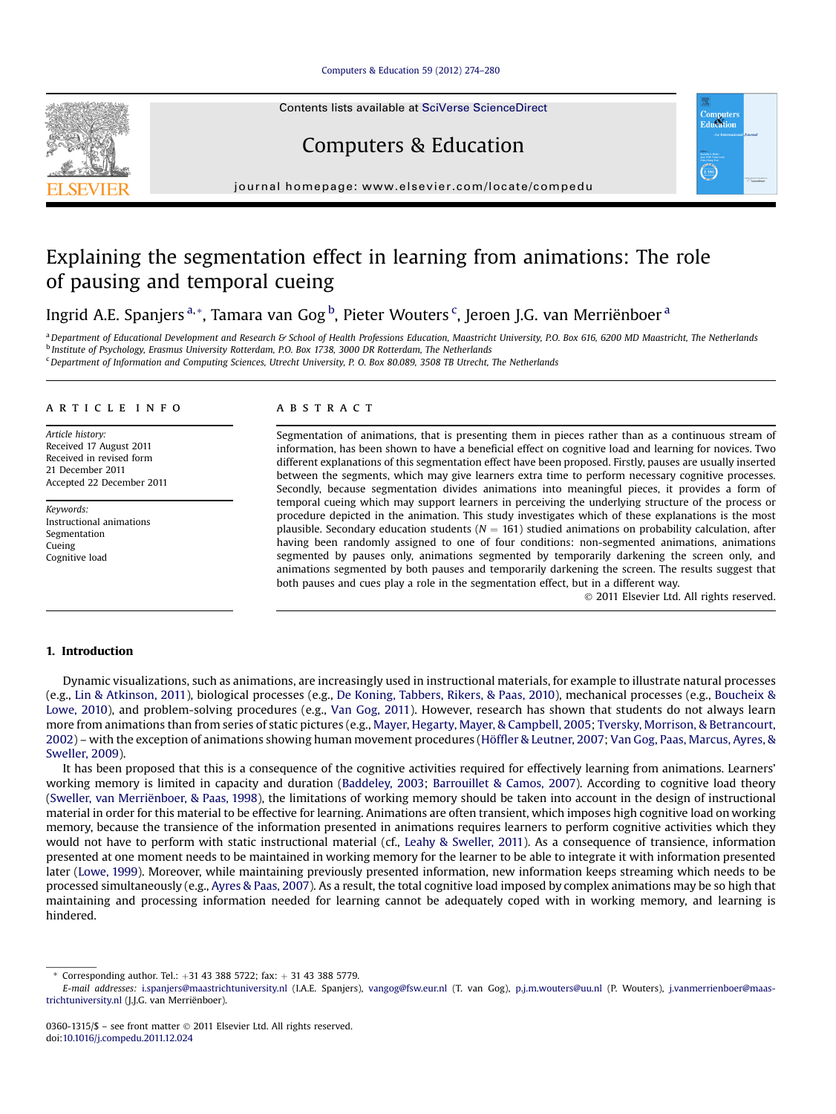#### [Computers & Education 59 \(2012\) 274](http://dx.doi.org/10.1016/j.compedu.2011.12.024)–280

Contents lists available at [SciVerse ScienceDirect](www.sciencedirect.com/science/journal/03601315)







journal homepage: [www.elsevier.com/locate/compedu](http://www.elsevier.com/locate/compedu)

## Explaining the segmentation effect in learning from animations: The role of pausing and temporal cueing

Ingrid A.E. Spanjers <sup>a, \*</sup>, Tamara van Gog <sup>b</sup>, Pieter Wouters <sup>c</sup>, Jeroen J.G. van Merriënboer <sup>a</sup>

<sup>a</sup> Department of Educational Development and Research & School of Health Professions Education, Maastricht University, P.O. Box 616, 6200 MD Maastricht, The Netherlands <sup>b</sup> Institute of Psychology, Erasmus University Rotterdam, P.O. Box 1738, 3000 DR Rotterdam, The Netherlands  $c$ Department of Information and Computing Sciences, Utrecht University, P. O. Box 80.089, 3508 TB Utrecht, The Netherlands

#### article info

Article history: Received 17 August 2011 Received in revised form 21 December 2011 Accepted 22 December 2011

Keywords: Instructional animations Segmentation Cueing Cognitive load

## **ABSTRACT**

Segmentation of animations, that is presenting them in pieces rather than as a continuous stream of information, has been shown to have a beneficial effect on cognitive load and learning for novices. Two different explanations of this segmentation effect have been proposed. Firstly, pauses are usually inserted between the segments, which may give learners extra time to perform necessary cognitive processes. Secondly, because segmentation divides animations into meaningful pieces, it provides a form of temporal cueing which may support learners in perceiving the underlying structure of the process or procedure depicted in the animation. This study investigates which of these explanations is the most plausible. Secondary education students ( $N = 161$ ) studied animations on probability calculation, after having been randomly assigned to one of four conditions: non-segmented animations, animations segmented by pauses only, animations segmented by temporarily darkening the screen only, and animations segmented by both pauses and temporarily darkening the screen. The results suggest that both pauses and cues play a role in the segmentation effect, but in a different way.

2011 Elsevier Ltd. All rights reserved.

## 1. Introduction

Dynamic visualizations, such as animations, are increasingly used in instructional materials, for example to illustrate natural processes (e.g., [Lin & Atkinson, 2011\)](#page-6-0), biological processes (e.g., [De Koning, Tabbers, Rikers, & Paas, 2010](#page-6-0)), mechanical processes (e.g., [Boucheix &](#page-6-0) [Lowe, 2010\)](#page-6-0), and problem-solving procedures (e.g., [Van Gog, 2011](#page-7-0)). However, research has shown that students do not always learn more from animations than from series of static pictures (e.g., [Mayer, Hegarty, Mayer, & Campbell, 2005](#page-6-0); [Tversky, Morrison, & Betrancourt,](#page-7-0) [2002](#page-7-0)) – with the exception of animations showing human movement procedures (Höffl[er & Leutner, 2007;](#page-6-0) [Van Gog, Paas, Marcus, Ayres, &](#page-7-0) [Sweller, 2009\)](#page-7-0).

It has been proposed that this is a consequence of the cognitive activities required for effectively learning from animations. Learners' working memory is limited in capacity and duration ([Baddeley, 2003](#page-6-0); [Barrouillet & Camos, 2007](#page-6-0)). According to cognitive load theory ([Sweller, van Merriënboer, & Paas, 1998\)](#page-7-0), the limitations of working memory should be taken into account in the design of instructional material in order for this material to be effective for learning. Animations are often transient, which imposes high cognitive load on working memory, because the transience of the information presented in animations requires learners to perform cognitive activities which they would not have to perform with static instructional material (cf., [Leahy & Sweller, 2011](#page-6-0)). As a consequence of transience, information presented at one moment needs to be maintained in working memory for the learner to be able to integrate it with information presented later ([Lowe, 1999](#page-6-0)). Moreover, while maintaining previously presented information, new information keeps streaming which needs to be processed simultaneously (e.g., [Ayres & Paas, 2007](#page-6-0)). As a result, the total cognitive load imposed by complex animations may be so high that maintaining and processing information needed for learning cannot be adequately coped with in working memory, and learning is hindered.

<sup>\*</sup> Corresponding author. Tel.:  $+31$  43 388 5722; fax:  $+31$  43 388 5779.

E-mail addresses: [i.spanjers@maastrichtuniversity.nl](mailto:i.spanjers@maastrichtuniversity.nl) (I.A.E. Spanjers), [vangog@fsw.eur.nl](mailto:vangog@fsw.eur.nl) (T. van Gog), [p.j.m.wouters@uu.nl](mailto:p.j.m.wouters@uu.nl) (P. Wouters), [j.vanmerrienboer@maas](mailto:j.vanmerrienboer@maastrichtuniversity.nl)[trichtuniversity.nl](mailto:j.vanmerrienboer@maastrichtuniversity.nl) (J.J.G. van Merriënboer).

<sup>0360-1315/\$ -</sup> see front matter  $\odot$  2011 Elsevier Ltd. All rights reserved. doi:[10.1016/j.compedu.2011.12.024](http://dx.doi.org/10.1016/j.compedu.2011.12.024)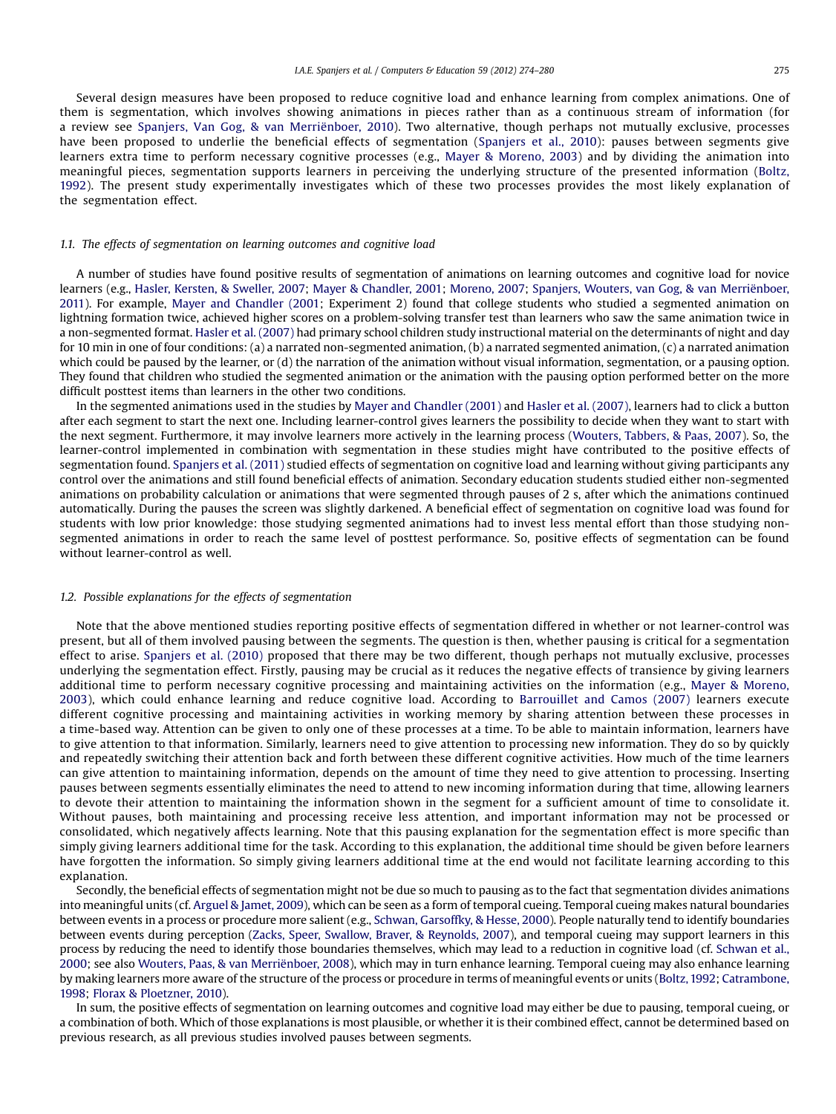Several design measures have been proposed to reduce cognitive load and enhance learning from complex animations. One of them is segmentation, which involves showing animations in pieces rather than as a continuous stream of information (for a review see [Spanjers, Van Gog, & van Merriënboer, 2010\)](#page-7-0). Two alternative, though perhaps not mutually exclusive, processes have been proposed to underlie the beneficial effects of segmentation ([Spanjers et al., 2010](#page-7-0)): pauses between segments give learners extra time to perform necessary cognitive processes (e.g., [Mayer & Moreno, 2003\)](#page-6-0) and by dividing the animation into meaningful pieces, segmentation supports learners in perceiving the underlying structure of the presented information ([Boltz,](#page-6-0) [1992\)](#page-6-0). The present study experimentally investigates which of these two processes provides the most likely explanation of the segmentation effect.

#### 1.1. The effects of segmentation on learning outcomes and cognitive load

A number of studies have found positive results of segmentation of animations on learning outcomes and cognitive load for novice learners (e.g., [Hasler, Kersten, & Sweller, 2007](#page-6-0); [Mayer & Chandler, 2001](#page-6-0); [Moreno, 2007](#page-6-0); [Spanjers, Wouters, van Gog, & van Merriënboer,](#page-7-0) [2011](#page-7-0)). For example, [Mayer and Chandler \(2001;](#page-6-0) Experiment 2) found that college students who studied a segmented animation on lightning formation twice, achieved higher scores on a problem-solving transfer test than learners who saw the same animation twice in a non-segmented format. [Hasler et al. \(2007\)](#page-6-0) had primary school children study instructional material on the determinants of night and day for 10 min in one of four conditions: (a) a narrated non-segmented animation, (b) a narrated segmented animation, (c) a narrated animation which could be paused by the learner, or (d) the narration of the animation without visual information, segmentation, or a pausing option. They found that children who studied the segmented animation or the animation with the pausing option performed better on the more difficult posttest items than learners in the other two conditions.

In the segmented animations used in the studies by [Mayer and Chandler \(2001\)](#page-6-0) and [Hasler et al. \(2007\),](#page-6-0) learners had to click a button after each segment to start the next one. Including learner-control gives learners the possibility to decide when they want to start with the next segment. Furthermore, it may involve learners more actively in the learning process [\(Wouters, Tabbers, & Paas, 2007\)](#page-7-0). So, the learner-control implemented in combination with segmentation in these studies might have contributed to the positive effects of segmentation found. [Spanjers et al. \(2011\)](#page-7-0) studied effects of segmentation on cognitive load and learning without giving participants any control over the animations and still found beneficial effects of animation. Secondary education students studied either non-segmented animations on probability calculation or animations that were segmented through pauses of 2 s, after which the animations continued automatically. During the pauses the screen was slightly darkened. A beneficial effect of segmentation on cognitive load was found for students with low prior knowledge: those studying segmented animations had to invest less mental effort than those studying nonsegmented animations in order to reach the same level of posttest performance. So, positive effects of segmentation can be found without learner-control as well.

#### 1.2. Possible explanations for the effects of segmentation

Note that the above mentioned studies reporting positive effects of segmentation differed in whether or not learner-control was present, but all of them involved pausing between the segments. The question is then, whether pausing is critical for a segmentation effect to arise. [Spanjers et al. \(2010\)](#page-7-0) proposed that there may be two different, though perhaps not mutually exclusive, processes underlying the segmentation effect. Firstly, pausing may be crucial as it reduces the negative effects of transience by giving learners additional time to perform necessary cognitive processing and maintaining activities on the information (e.g., [Mayer & Moreno,](#page-6-0) [2003](#page-6-0)), which could enhance learning and reduce cognitive load. According to [Barrouillet and Camos \(2007\)](#page-6-0) learners execute different cognitive processing and maintaining activities in working memory by sharing attention between these processes in a time-based way. Attention can be given to only one of these processes at a time. To be able to maintain information, learners have to give attention to that information. Similarly, learners need to give attention to processing new information. They do so by quickly and repeatedly switching their attention back and forth between these different cognitive activities. How much of the time learners can give attention to maintaining information, depends on the amount of time they need to give attention to processing. Inserting pauses between segments essentially eliminates the need to attend to new incoming information during that time, allowing learners to devote their attention to maintaining the information shown in the segment for a sufficient amount of time to consolidate it. Without pauses, both maintaining and processing receive less attention, and important information may not be processed or consolidated, which negatively affects learning. Note that this pausing explanation for the segmentation effect is more specific than simply giving learners additional time for the task. According to this explanation, the additional time should be given before learners have forgotten the information. So simply giving learners additional time at the end would not facilitate learning according to this explanation.

Secondly, the beneficial effects of segmentation might not be due so much to pausing as to the fact that segmentation divides animations into meaningful units (cf. [Arguel & Jamet, 2009](#page-6-0)), which can be seen as a form of temporal cueing. Temporal cueing makes natural boundaries between events in a process or procedure more salient (e.g., [Schwan, Garsoffky, & Hesse, 2000\)](#page-6-0). People naturally tend to identify boundaries between events during perception [\(Zacks, Speer, Swallow, Braver, & Reynolds, 2007](#page-7-0)), and temporal cueing may support learners in this process by reducing the need to identify those boundaries themselves, which may lead to a reduction in cognitive load (cf. [Schwan et al.,](#page-6-0) [2000](#page-6-0); see also [Wouters, Paas, & van Merriënboer, 2008](#page-7-0)), which may in turn enhance learning. Temporal cueing may also enhance learning by making learners more aware of the structure of the process or procedure in terms of meaningful events or units ([Boltz, 1992](#page-6-0); [Catrambone,](#page-6-0) [1998;](#page-6-0) [Florax & Ploetzner, 2010](#page-6-0)).

In sum, the positive effects of segmentation on learning outcomes and cognitive load may either be due to pausing, temporal cueing, or a combination of both. Which of those explanations is most plausible, or whether it is their combined effect, cannot be determined based on previous research, as all previous studies involved pauses between segments.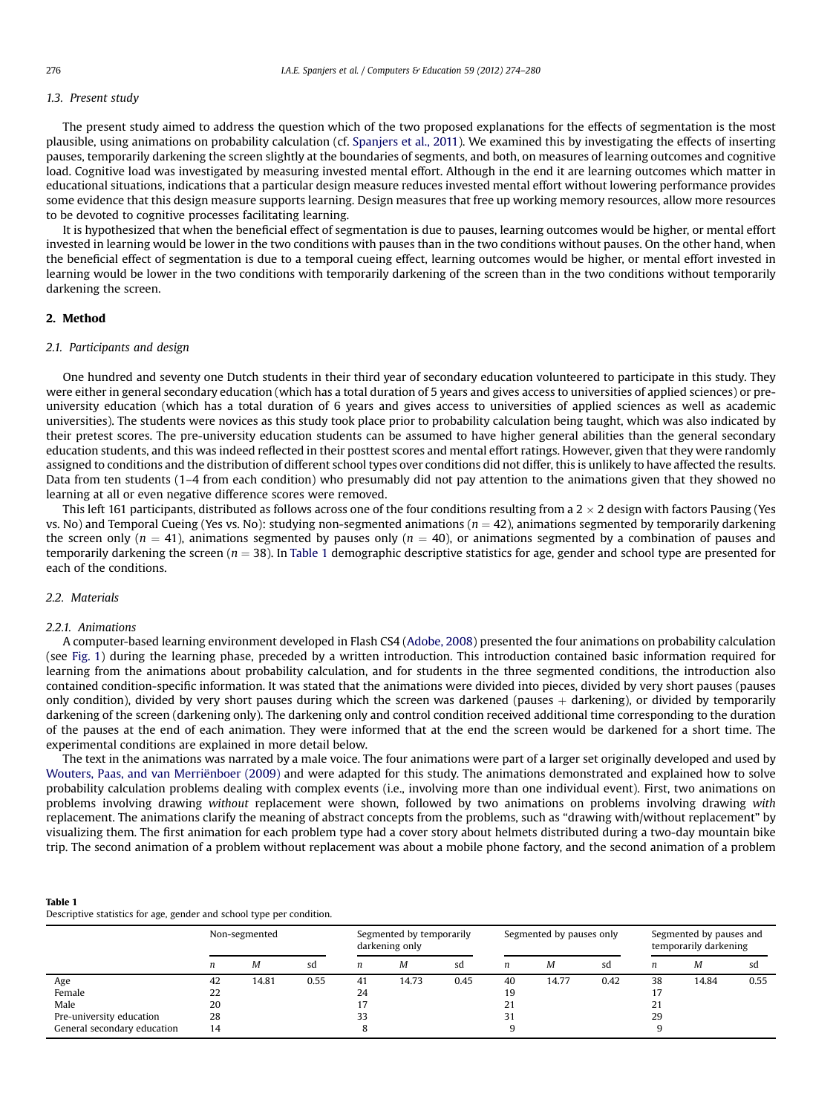### 1.3. Present study

The present study aimed to address the question which of the two proposed explanations for the effects of segmentation is the most plausible, using animations on probability calculation (cf. [Spanjers et al., 2011\)](#page-7-0). We examined this by investigating the effects of inserting pauses, temporarily darkening the screen slightly at the boundaries of segments, and both, on measures of learning outcomes and cognitive load. Cognitive load was investigated by measuring invested mental effort. Although in the end it are learning outcomes which matter in educational situations, indications that a particular design measure reduces invested mental effort without lowering performance provides some evidence that this design measure supports learning. Design measures that free up working memory resources, allow more resources to be devoted to cognitive processes facilitating learning.

It is hypothesized that when the beneficial effect of segmentation is due to pauses, learning outcomes would be higher, or mental effort invested in learning would be lower in the two conditions with pauses than in the two conditions without pauses. On the other hand, when the beneficial effect of segmentation is due to a temporal cueing effect, learning outcomes would be higher, or mental effort invested in learning would be lower in the two conditions with temporarily darkening of the screen than in the two conditions without temporarily darkening the screen.

## 2. Method

## 2.1. Participants and design

One hundred and seventy one Dutch students in their third year of secondary education volunteered to participate in this study. They were either in general secondary education (which has a total duration of 5 years and gives access to universities of applied sciences) or preuniversity education (which has a total duration of 6 years and gives access to universities of applied sciences as well as academic universities). The students were novices as this study took place prior to probability calculation being taught, which was also indicated by their pretest scores. The pre-university education students can be assumed to have higher general abilities than the general secondary education students, and this was indeed reflected in their posttest scores and mental effort ratings. However, given that they were randomly assigned to conditions and the distribution of different school types over conditions did not differ, this is unlikely to have affected the results. Data from ten students (1–4 from each condition) who presumably did not pay attention to the animations given that they showed no learning at all or even negative difference scores were removed.

This left 161 participants, distributed as follows across one of the four conditions resulting from a 2  $\times$  2 design with factors Pausing (Yes vs. No) and Temporal Cueing (Yes vs. No): studying non-segmented animations ( $n = 42$ ), animations segmented by temporarily darkening the screen only ( $n = 41$ ), animations segmented by pauses only ( $n = 40$ ), or animations segmented by a combination of pauses and temporarily darkening the screen ( $n = 38$ ). In Table 1 demographic descriptive statistics for age, gender and school type are presented for each of the conditions.

## 2.2. Materials

#### 2.2.1. Animations

A computer-based learning environment developed in Flash CS4 ([Adobe, 2008](#page-6-0)) presented the four animations on probability calculation (see [Fig. 1\)](#page-4-0) during the learning phase, preceded by a written introduction. This introduction contained basic information required for learning from the animations about probability calculation, and for students in the three segmented conditions, the introduction also contained condition-specific information. It was stated that the animations were divided into pieces, divided by very short pauses (pauses only condition), divided by very short pauses during which the screen was darkened (pauses  $+$  darkening), or divided by temporarily darkening of the screen (darkening only). The darkening only and control condition received additional time corresponding to the duration of the pauses at the end of each animation. They were informed that at the end the screen would be darkened for a short time. The experimental conditions are explained in more detail below.

The text in the animations was narrated by a male voice. The four animations were part of a larger set originally developed and used by [Wouters, Paas, and van Merriënboer \(2009\)](#page-7-0) and were adapted for this study. The animations demonstrated and explained how to solve probability calculation problems dealing with complex events (i.e., involving more than one individual event). First, two animations on problems involving drawing without replacement were shown, followed by two animations on problems involving drawing with replacement. The animations clarify the meaning of abstract concepts from the problems, such as "drawing with/without replacement" by visualizing them. The first animation for each problem type had a cover story about helmets distributed during a two-day mountain bike trip. The second animation of a problem without replacement was about a mobile phone factory, and the second animation of a problem

#### Table 1

Descriptive statistics for age, gender and school type per condition.

|                             | Non-segmented |       |      | Segmented by temporarily<br>darkening only |       |      | Segmented by pauses only |       |      | Segmented by pauses and<br>temporarily darkening |       |      |
|-----------------------------|---------------|-------|------|--------------------------------------------|-------|------|--------------------------|-------|------|--------------------------------------------------|-------|------|
|                             |               | M     | sd   | n                                          | M     | sd   | n                        | M     | sd   |                                                  | M     | sd   |
| Age                         | 42            | 14.81 | 0.55 | 41                                         | 14.73 | 0.45 | 40                       | 14.77 | 0.42 | 38                                               | 14.84 | 0.55 |
| Female                      | 22            |       |      | 24                                         |       |      | 19                       |       |      |                                                  |       |      |
| Male                        | 20            |       |      | 17                                         |       |      | 21                       |       |      | 21                                               |       |      |
| Pre-university education    | 28            |       |      | 33                                         |       |      | 31                       |       |      | 29                                               |       |      |
| General secondary education | 14            |       |      | ∩                                          |       |      |                          |       |      |                                                  |       |      |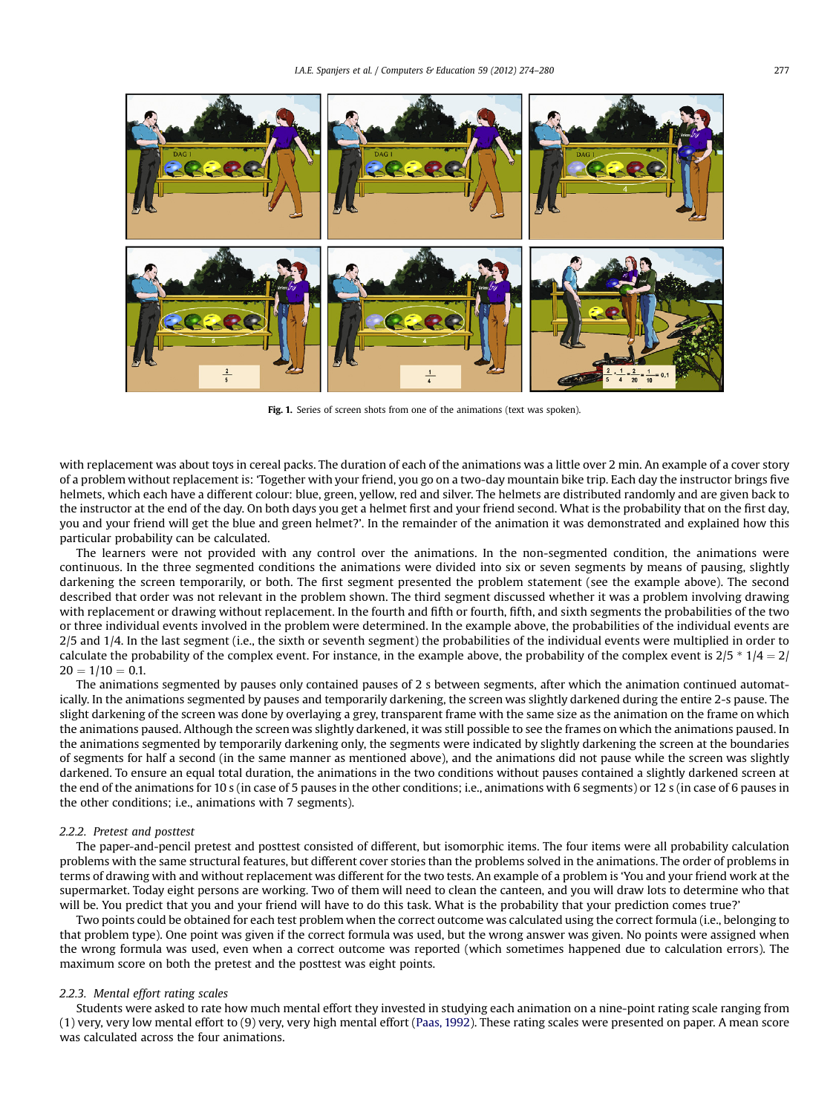<span id="page-4-0"></span>

Fig. 1. Series of screen shots from one of the animations (text was spoken).

with replacement was about toys in cereal packs. The duration of each of the animations was a little over 2 min. An example of a cover story of a problem without replacement is: 'Together with your friend, you go on a two-day mountain bike trip. Each day the instructor brings five helmets, which each have a different colour: blue, green, yellow, red and silver. The helmets are distributed randomly and are given back to the instructor at the end of the day. On both days you get a helmet first and your friend second. What is the probability that on the first day, you and your friend will get the blue and green helmet?'. In the remainder of the animation it was demonstrated and explained how this particular probability can be calculated.

The learners were not provided with any control over the animations. In the non-segmented condition, the animations were continuous. In the three segmented conditions the animations were divided into six or seven segments by means of pausing, slightly darkening the screen temporarily, or both. The first segment presented the problem statement (see the example above). The second described that order was not relevant in the problem shown. The third segment discussed whether it was a problem involving drawing with replacement or drawing without replacement. In the fourth and fifth or fourth, fifth, and sixth segments the probabilities of the two or three individual events involved in the problem were determined. In the example above, the probabilities of the individual events are 2/5 and 1/4. In the last segment (i.e., the sixth or seventh segment) the probabilities of the individual events were multiplied in order to calculate the probability of the complex event. For instance, in the example above, the probability of the complex event is  $2/5 * 1/4 = 2/5$  $20 = 1/10 = 0.1.$ 

The animations segmented by pauses only contained pauses of 2 s between segments, after which the animation continued automatically. In the animations segmented by pauses and temporarily darkening, the screen was slightly darkened during the entire 2-s pause. The slight darkening of the screen was done by overlaying a grey, transparent frame with the same size as the animation on the frame on which the animations paused. Although the screen was slightly darkened, it was still possible to see the frames on which the animations paused. In the animations segmented by temporarily darkening only, the segments were indicated by slightly darkening the screen at the boundaries of segments for half a second (in the same manner as mentioned above), and the animations did not pause while the screen was slightly darkened. To ensure an equal total duration, the animations in the two conditions without pauses contained a slightly darkened screen at the end of the animations for 10 s (in case of 5 pauses in the other conditions; i.e., animations with 6 segments) or 12 s (in case of 6 pauses in the other conditions; i.e., animations with 7 segments).

## 2.2.2. Pretest and posttest

The paper-and-pencil pretest and posttest consisted of different, but isomorphic items. The four items were all probability calculation problems with the same structural features, but different cover stories than the problems solved in the animations. The order of problems in terms of drawing with and without replacement was different for the two tests. An example of a problem is 'You and your friend work at the supermarket. Today eight persons are working. Two of them will need to clean the canteen, and you will draw lots to determine who that will be. You predict that you and your friend will have to do this task. What is the probability that your prediction comes true?'

Two points could be obtained for each test problem when the correct outcome was calculated using the correct formula (i.e., belonging to that problem type). One point was given if the correct formula was used, but the wrong answer was given. No points were assigned when the wrong formula was used, even when a correct outcome was reported (which sometimes happened due to calculation errors). The maximum score on both the pretest and the posttest was eight points.

#### 2.2.3. Mental effort rating scales

Students were asked to rate how much mental effort they invested in studying each animation on a nine-point rating scale ranging from (1) very, very low mental effort to (9) very, very high mental effort ([Paas, 1992\)](#page-6-0). These rating scales were presented on paper. A mean score was calculated across the four animations.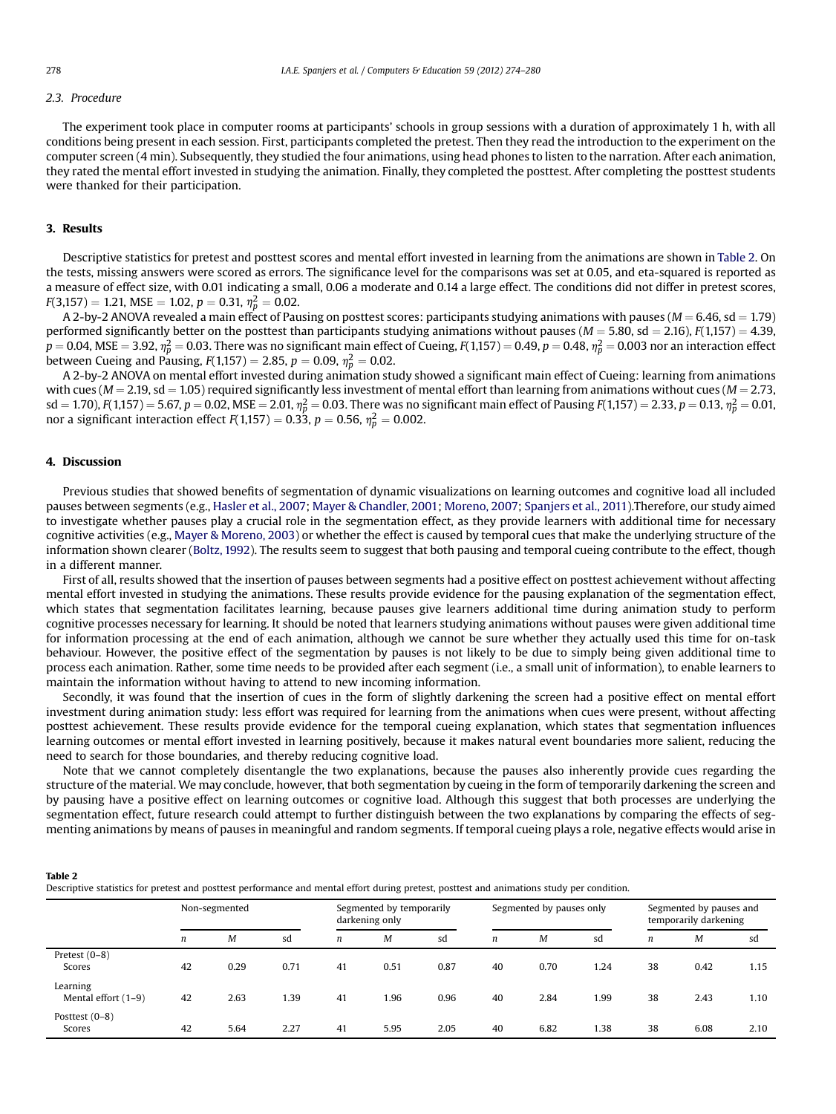## 2.3. Procedure

The experiment took place in computer rooms at participants' schools in group sessions with a duration of approximately 1 h, with all conditions being present in each session. First, participants completed the pretest. Then they read the introduction to the experiment on the computer screen (4 min). Subsequently, they studied the four animations, using head phones to listen to the narration. After each animation, they rated the mental effort invested in studying the animation. Finally, they completed the posttest. After completing the posttest students were thanked for their participation.

## 3. Results

Descriptive statistics for pretest and posttest scores and mental effort invested in learning from the animations are shown in Table 2. On the tests, missing answers were scored as errors. The significance level for the comparisons was set at 0.05, and eta-squared is reported as a measure of effect size, with 0.01 indicating a small, 0.06 a moderate and 0.14 a large effect. The conditions did not differ in pretest scores,  $F(3,157) = 1.21$ , MSE = 1.02,  $p = 0.31$ ,  $\eta_p^2 = 0.02$ .

A 2-by-2 ANOVA revealed a main effect of Pausing on posttest scores: participants studying animations with pauses ( $M = 6.46$ , sd = 1.79) performed significantly better on the posttest than participants studying animations without pauses ( $M = 5.80$ , sd = 2.16),  $F(1,157) = 4.39$ ,  $p = 0.04$ , MSE = 3.92,  $\eta_p^2 = 0.03$ . There was no significant main effect of Cueing,  $F(1,157) = 0.49$ ,  $p = 0.48$ ,  $\eta_p^2 = 0.003$  nor an interaction effect between Cueing and Pausing,  $F(1,157) = 2.85$ ,  $p = 0.09$ ,  $\eta_p^2 = 0.02$ .

A 2-by-2 ANOVA on mental effort invested during animation study showed a significant main effect of Cueing: learning from animations with cues ( $M = 2.19$ , sd = 1.05) required significantly less investment of mental effort than learning from animations without cues ( $M = 2.73$ , sd = 1.70), F(1,157) = 5.67, p = 0.02, MSE = 2.01,  $\eta_p^2$  = 0.03. There was no significant main effect of Pausing F(1,157) = 2.33, p = 0.13,  $\eta_p^2$  = 0.01, nor a significant interaction effect  $F(1,157) = 0.3\dot{3},\, p = 0.56,\, \eta_p^2 = 0.002.$ 

## 4. Discussion

Previous studies that showed benefits of segmentation of dynamic visualizations on learning outcomes and cognitive load all included pauses between segments (e.g., [Hasler et al., 2007](#page-6-0); [Mayer & Chandler, 2001](#page-6-0); [Moreno, 2007](#page-6-0); [Spanjers et al., 2011](#page-7-0)).Therefore, our study aimed to investigate whether pauses play a crucial role in the segmentation effect, as they provide learners with additional time for necessary cognitive activities (e.g., [Mayer & Moreno, 2003](#page-6-0)) or whether the effect is caused by temporal cues that make the underlying structure of the information shown clearer ([Boltz, 1992](#page-6-0)). The results seem to suggest that both pausing and temporal cueing contribute to the effect, though in a different manner.

First of all, results showed that the insertion of pauses between segments had a positive effect on posttest achievement without affecting mental effort invested in studying the animations. These results provide evidence for the pausing explanation of the segmentation effect, which states that segmentation facilitates learning, because pauses give learners additional time during animation study to perform cognitive processes necessary for learning. It should be noted that learners studying animations without pauses were given additional time for information processing at the end of each animation, although we cannot be sure whether they actually used this time for on-task behaviour. However, the positive effect of the segmentation by pauses is not likely to be due to simply being given additional time to process each animation. Rather, some time needs to be provided after each segment (i.e., a small unit of information), to enable learners to maintain the information without having to attend to new incoming information.

Secondly, it was found that the insertion of cues in the form of slightly darkening the screen had a positive effect on mental effort investment during animation study: less effort was required for learning from the animations when cues were present, without affecting posttest achievement. These results provide evidence for the temporal cueing explanation, which states that segmentation influences learning outcomes or mental effort invested in learning positively, because it makes natural event boundaries more salient, reducing the need to search for those boundaries, and thereby reducing cognitive load.

Note that we cannot completely disentangle the two explanations, because the pauses also inherently provide cues regarding the structure of the material. We may conclude, however, that both segmentation by cueing in the form of temporarily darkening the screen and by pausing have a positive effect on learning outcomes or cognitive load. Although this suggest that both processes are underlying the segmentation effect, future research could attempt to further distinguish between the two explanations by comparing the effects of segmenting animations by means of pauses in meaningful and random segments. If temporal cueing plays a role, negative effects would arise in

| Table 2                                                                                                                                    |  |
|--------------------------------------------------------------------------------------------------------------------------------------------|--|
| Descriptive statistics for pretest and posttest performance and mental effort during pretest, posttest and animations study per condition. |  |
|                                                                                                                                            |  |

|                                   |    | Non-segmented |      |    | Segmented by temporarily<br>darkening only |      |    | Segmented by pauses only |      |    | Segmented by pauses and<br>temporarily darkening |      |  |
|-----------------------------------|----|---------------|------|----|--------------------------------------------|------|----|--------------------------|------|----|--------------------------------------------------|------|--|
|                                   | n  | M             | sd   | n  | М                                          | sd   | n  | M                        | sd   | n  | M                                                | sd   |  |
| Pretest $(0-8)$<br>Scores         | 42 | 0.29          | 0.71 | 41 | 0.51                                       | 0.87 | 40 | 0.70                     | 1.24 | 38 | 0.42                                             | 1.15 |  |
| Learning<br>Mental effort $(1-9)$ | 42 | 2.63          | 1.39 | 41 | 1.96                                       | 0.96 | 40 | 2.84                     | l.99 | 38 | 2.43                                             | 1.10 |  |
| Posttest $(0-8)$<br>Scores        | 42 | 5.64          | 2.27 | 41 | 5.95                                       | 2.05 | 40 | 6.82                     | 1.38 | 38 | 6.08                                             | 2.10 |  |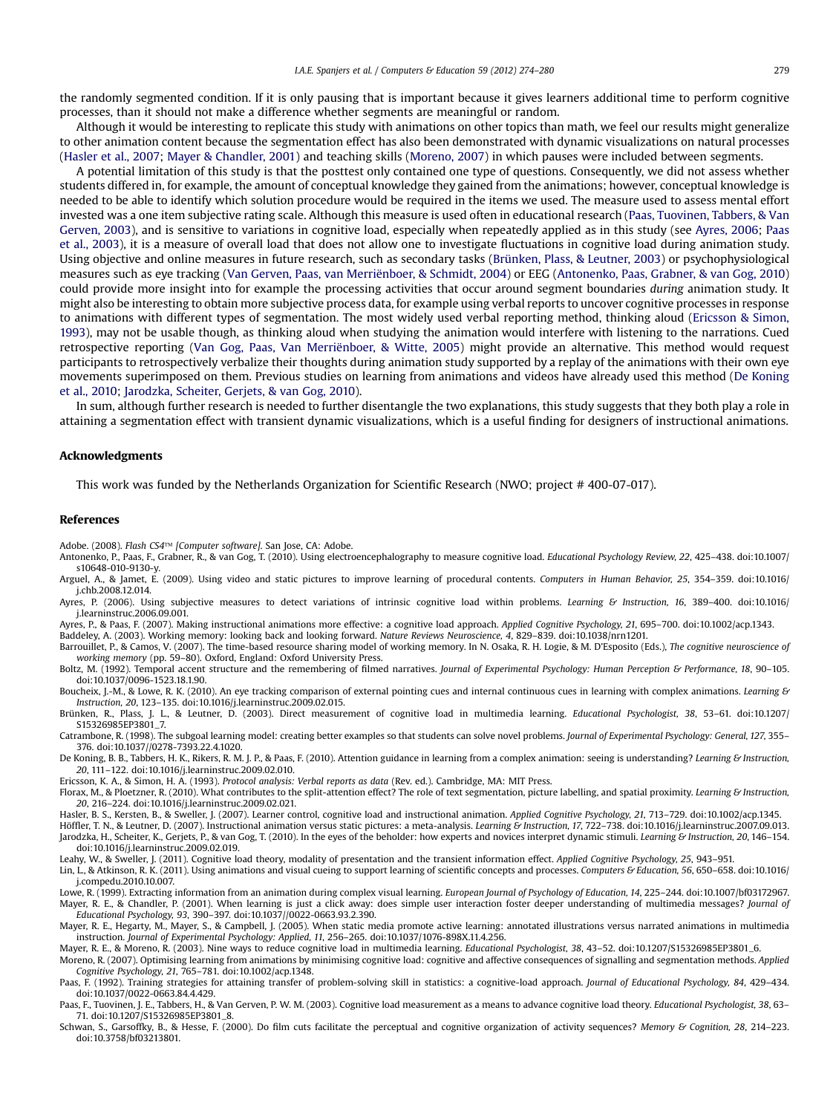<span id="page-6-0"></span>the randomly segmented condition. If it is only pausing that is important because it gives learners additional time to perform cognitive processes, than it should not make a difference whether segments are meaningful or random.

Although it would be interesting to replicate this study with animations on other topics than math, we feel our results might generalize to other animation content because the segmentation effect has also been demonstrated with dynamic visualizations on natural processes (Hasler et al., 2007; Mayer & Chandler, 2001) and teaching skills (Moreno, 2007) in which pauses were included between segments.

A potential limitation of this study is that the posttest only contained one type of questions. Consequently, we did not assess whether students differed in, for example, the amount of conceptual knowledge they gained from the animations; however, conceptual knowledge is needed to be able to identify which solution procedure would be required in the items we used. The measure used to assess mental effort invested was a one item subjective rating scale. Although this measure is used often in educational research (Paas, Tuovinen, Tabbers, & Van Gerven, 2003), and is sensitive to variations in cognitive load, especially when repeatedly applied as in this study (see Ayres, 2006; Paas et al., 2003), it is a measure of overall load that does not allow one to investigate fluctuations in cognitive load during animation study. Using objective and online measures in future research, such as secondary tasks (Brünken, Plass, & Leutner, 2003) or psychophysiological measures such as eye tracking ([Van Gerven, Paas, van Merriënboer, & Schmidt, 2004](#page-7-0)) or EEG (Antonenko, Paas, Grabner, & van Gog, 2010) could provide more insight into for example the processing activities that occur around segment boundaries during animation study. It might also be interesting to obtain more subjective process data, for example using verbal reports to uncover cognitive processes in response to animations with different types of segmentation. The most widely used verbal reporting method, thinking aloud (Ericsson & Simon, 1993), may not be usable though, as thinking aloud when studying the animation would interfere with listening to the narrations. Cued retrospective reporting [\(Van Gog, Paas, Van Merriënboer, & Witte, 2005\)](#page-7-0) might provide an alternative. This method would request participants to retrospectively verbalize their thoughts during animation study supported by a replay of the animations with their own eye movements superimposed on them. Previous studies on learning from animations and videos have already used this method (De Koning et al., 2010; Jarodzka, Scheiter, Gerjets, & van Gog, 2010).

In sum, although further research is needed to further disentangle the two explanations, this study suggests that they both play a role in attaining a segmentation effect with transient dynamic visualizations, which is a useful finding for designers of instructional animations.

#### Acknowledgments

This work was funded by the Netherlands Organization for Scientific Research (NWO; project # 400-07-017).

#### References

Adobe. (2008). Flash CS4™ [Computer software]. San Jose, CA: Adobe.

- Antonenko, P., Paas, F., Grabner, R., & van Gog, T. (2010). Using electroencephalography to measure cognitive load. Educational Psychology Review, 22, 425–438. doi:10.1007/ s10648-010-9130-y.
- Arguel, A., & Jamet, E. (2009). Using video and static pictures to improve learning of procedural contents. Computers in Human Behavior, 25, 354–359. doi:10.1016/ j.chb.2008.12.014.
- Ayres, P. (2006). Using subjective measures to detect variations of intrinsic cognitive load within problems. Learning & Instruction, 16, 389-400. doi:10.1016/ j.learninstruc.2006.09.001.
- Ayres, P., & Paas, F. (2007). Making instructional animations more effective: a cognitive load approach. Applied Cognitive Psychology, 21, 695-700, doi:10.1002/acp.1343.

Baddeley, A. (2003). Working memory: looking back and looking forward. Nature Reviews Neuroscience, 4, 829–839. doi:10.1038/nrn1201.

Barrouillet, P., & Camos, V. (2007). The time-based resource sharing model of working memory. In N. Osaka, R. H. Logie, & M. D'Esposito (Eds.), The cognitive neuroscience of working memory (pp. 59–80). Oxford, England: Oxford University Press. Boltz, M. (1992). Temporal accent structure and the remembering of filmed narratives. Journal of Experimental Psychology: Human Perception & Performance, 18, 90-105.

doi:10.1037/0096-1523.18.1.90. Boucheix, J.-M., & Lowe, R. K. (2010). An eye tracking comparison of external pointing cues and internal continuous cues in learning with complex animations. Learning &

Instruction, 20, 123–135. doi:10.1016/j.learninstruc.2009.02.015. Brünken, R., Plass, J. L., & Leutner, D. (2003). Direct measurement of cognitive load in multimedia learning. Educational Psychologist, 38, 53–61. doi:10.1207/

S15326985EP3801\_7. Catrambone, R. (1998). The subgoal learning model: creating better examples so that students can solve novel problems. Journal of Experimental Psychology: General, 127, 355–

376. doi:10.1037//0278-7393.22.4.1020. De Koning, B. B., Tabbers, H. K., Rikers, R. M. J. P., & Paas, F. (2010). Attention guidance in learning from a complex animation: seeing is understanding? Learning & Instruction, 20, 111–122. doi:10.1016/j.learninstruc.2009.02.010.

Ericsson, K. A., & Simon, H. A. (1993). Protocol analysis: Verbal reports as data (Rev. ed.). Cambridge, MA: MIT Press.

Florax, M., & Ploetzner, R. (2010). What contributes to the split-attention effect? The role of text segmentation, picture labelling, and spatial proximity. Learning & Instruction, 20, 216–224. doi:10.1016/j.learninstruc.2009.02.021.

Hasler, B. S., Kersten, B., & Sweller, J. (2007). Learner control, cognitive load and instructional animation. Applied Cognitive Psychology, 21, 713–729. doi:10.1002/acp.1345.

Höffler, T. N., & Leutner, D. (2007). Instructional animation versus static pictures: a meta-analysis. Learning & Instruction, 17, 722-738. doi:10.1016/j.learninstruc.2007.09.013. Jarodzka, H., Scheiter, K., Gerjets, P., & van Gog, T. (2010). In the eyes of the beholder: how experts and novices interpret dynamic stimuli. Learning & Instruction, 20, 146-154. doi:10.1016/j.learninstruc.2009.02.019.

Leahy, W., & Sweller, J. (2011). Cognitive load theory, modality of presentation and the transient information effect. Applied Cognitive Psychology, 25, 943–951.

Lin, L., & Atkinson, R. K. (2011). Using animations and visual cueing to support learning of scientific concepts and processes. Computers & Education, 56, 650-658. doi:10.1016/ j.compedu.2010.10.007.

Lowe, R. (1999). Extracting information from an animation during complex visual learning. European Journal of Psychology of Education, 14, 225–244. doi:10.1007/bf03172967. Mayer, R. E., & Chandler, P. (2001). When learning is just a click away: does simple user interaction foster deeper understanding of multimedia messages? Journal of

Educational Psychology, 93, 390–397. doi:10.1037//0022-0663.93.2.390. Mayer, R. E., Hegarty, M., Mayer, S., & Campbell, J. (2005). When static media promote active learning: annotated illustrations versus narrated animations in multimedia instruction. Journal of Experimental Psychology: Applied, 11, 256–265. doi:10.1037/1076-898X.11.4.256.

Mayer, R. E., & Moreno, R. (2003). Nine ways to reduce cognitive load in multimedia learning. Educational Psychologist, 38, 43–52. doi:10.1207/S15326985EP3801\_6. Moreno, R. (2007). Optimising learning from animations by minimising cognitive load: cognitive and affective consequences of signalling and segmentation methods. Applied Cognitive Psychology, 21, 765–781. doi:10.1002/acp.1348.

Paas, F. (1992). Training strategies for attaining transfer of problem-solving skill in statistics: a cognitive-load approach. Journal of Educational Psychology, 84, 429-434. doi:10.1037/0022-0663.84.4.429.

Paas, F., Tuovinen, J. E., Tabbers, H., & Van Gerven, P. W. M. (2003). Cognitive load measurement as a means to advance cognitive load theory. Educational Psychologist, 38, 63-71. doi:10.1207/S15326985EP3801\_8.

Schwan, S., Garsoffky, B., & Hesse, F. (2000). Do film cuts facilitate the perceptual and cognitive organization of activity sequences? Memory & Cognition, 28, 214-223. doi:10.3758/bf03213801.